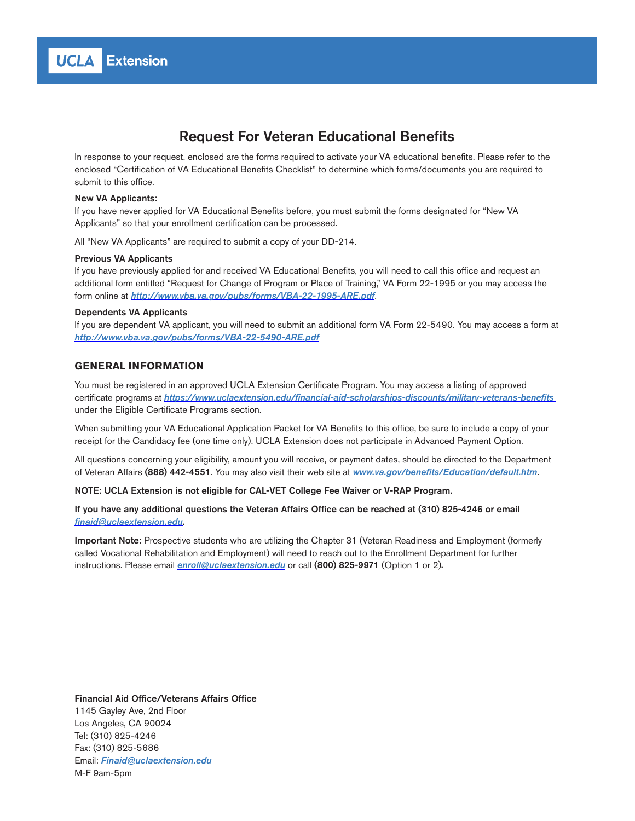# Request For Veteran Educational Benefits

In response to your request, enclosed are the forms required to activate your VA educational benefits. Please refer to the enclosed "Certification of VA Educational Benefits Checklist" to determine which forms/documents you are required to submit to this office.

#### New VA Applicants:

If you have never applied for VA Educational Benefits before, you must submit the forms designated for "New VA Applicants" so that your enrollment certification can be processed.

All "New VA Applicants" are required to submit a copy of your DD-214.

#### Previous VA Applicants

If you have previously applied for and received VA Educational Benefits, you will need to call this office and request an additional form entitled "Request for Change of Program or Place of Training," VA Form 22-1995 or you may access the form online at *http://www.vba.va.gov/pubs/forms/VBA-22-1995-ARE.pdf*.

#### Dependents VA Applicants

If you are dependent VA applicant, you will need to submit an additional form VA Form 22-5490. You may access a form at *http://www.vba.va.gov/pubs/forms/VBA-22-5490-ARE.pdf*

### **GENERAL INFORMATION**

You must be registered in an approved UCLA Extension Certificate Program. You may access a listing of approved certificate programs at https://www.uclaextension.edu/financial-aid-scholarships-discounts/military-veterans-benefits under the Eligible Certificate Programs section.

When submitting your VA Educational Application Packet for VA Benefits to this office, be sure to include a copy of your receipt for the Candidacy fee (one time only). UCLA Extension does not participate in Advanced Payment Option.

All questions concerning your eligibility, amount you will receive, or payment dates, should be directed to the Department of Veteran Affairs (888) 442-4551. You may also visit their web site at www.va.gov/benefits/Education/default.htm.

NOTE: UCLA Extension is not eligible for CAL-VET College Fee Waiver or V-RAP Program.

If you have any additional questions the Veteran Affairs Office can be reached at (310) 825-4246 or email finaid@uclaextension.edu.

Important Note: Prospective students who are utilizing the Chapter 31 (Veteran Readiness and Employment (formerly called Vocational Rehabilitation and Employment) will need to reach out to the Enrollment Department for further instructions. Please email **enroll@uclaextension.edu** or call (800) 825-9971 (Option 1 or 2).

#### Financial Aid Office/Veterans Affairs Office

1145 Gayley Ave, 2nd Floor Los Angeles, CA 90024 Tel: (310) 825-4246 Fax: (310) 825-5686 Email: Finaid@uclaextension.edu M-F 9am-5pm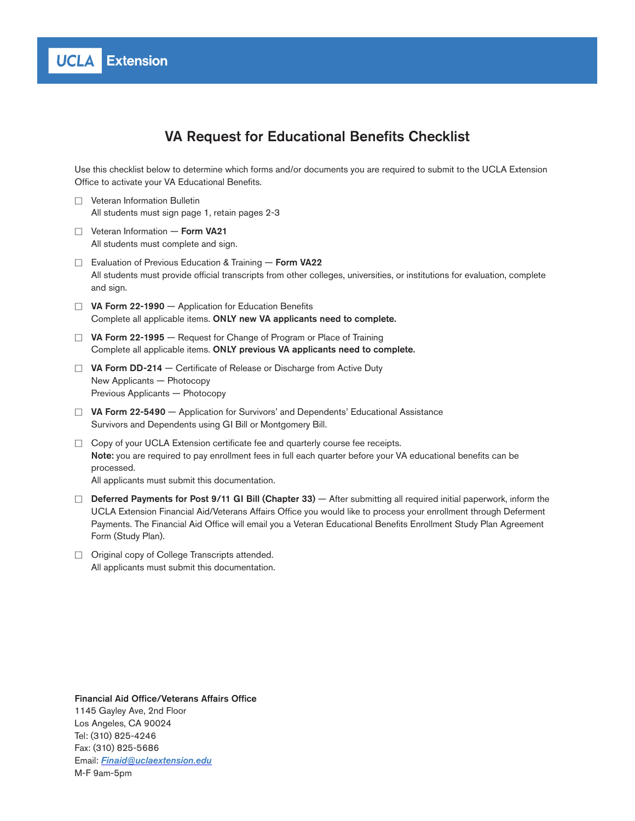

# VA Request for Educational Benefits Checklist

Use this checklist below to determine which forms and/or documents you are required to submit to the UCLA Extension Office to activate your VA Educational Benefits.

- $\Box$  Veteran Information Bulletin All students must sign page 1, retain pages 2-3
- $\Box$  Veteran Information Form VA21 All students must complete and sign.
- □ Evaluation of Previous Education & Training Form VA22 All students must provide official transcripts from other colleges, universities, or institutions for evaluation, complete and sign.
- $\Box$  VA Form 22-1990 Application for Education Benefits Complete all applicable items. ONLY new VA applicants need to complete.
- $\Box$  VA Form 22-1995 Request for Change of Program or Place of Training Complete all applicable items. ONLY previous VA applicants need to complete.
- $\Box$  VA Form DD-214 Certificate of Release or Discharge from Active Duty New Applicants — Photocopy Previous Applicants — Photocopy
- $\Box$  VA Form 22-5490  $-$  Application for Survivors' and Dependents' Educational Assistance Survivors and Dependents using GI Bill or Montgomery Bill.
- $\Box$  Copy of your UCLA Extension certificate fee and quarterly course fee receipts. Note: you are required to pay enrollment fees in full each quarter before your VA educational benefits can be processed.
	- All applicants must submit this documentation.
- $\square$  Deferred Payments for Post 9/11 GI Bill (Chapter 33) After submitting all required initial paperwork, inform the UCLA Extension Financial Aid/Veterans Affairs Office you would like to process your enrollment through Deferment Payments. The Financial Aid Office will email you a Veteran Educational Benefits Enrollment Study Plan Agreement Form (Study Plan).
- $\Box$  Original copy of College Transcripts attended. All applicants must submit this documentation.

### Financial Aid Office/Veterans Affairs Office 1145 Gayley Ave, 2nd Floor Los Angeles, CA 90024 Tel: (310) 825-4246 Fax: (310) 825-5686 Email: Finaid@uclaextension.edu M-F 9am-5pm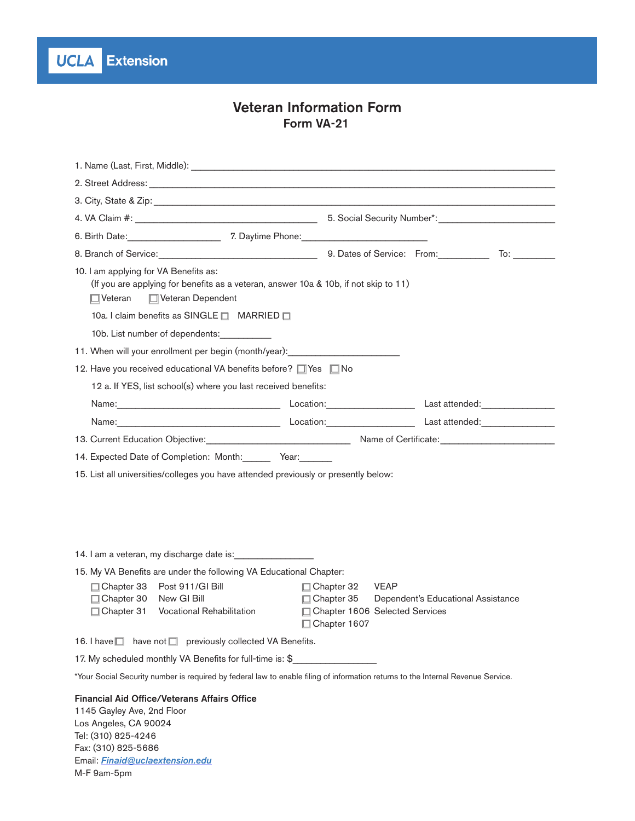**UCLA** Extension

# Veteran Information Form Form VA-21

| 8. Branch of Service: 10. 2010 10: 2010 10: 2010 10: 2010 10: 2010 10: 2010 10: 2010 10: 2010 10: 2010 10: 201                                                                              |                                                                                         |                                    |  |  |  |
|---------------------------------------------------------------------------------------------------------------------------------------------------------------------------------------------|-----------------------------------------------------------------------------------------|------------------------------------|--|--|--|
| 10. I am applying for VA Benefits as:<br>(If you are applying for benefits as a veteran, answer 10a & 10b, if not skip to 11)<br>□ Veteran □ Veteran Dependent                              |                                                                                         |                                    |  |  |  |
| 10a. I claim benefits as SINGLE □ MARRIED □                                                                                                                                                 |                                                                                         |                                    |  |  |  |
| 10b. List number of dependents:                                                                                                                                                             |                                                                                         |                                    |  |  |  |
| 11. When will your enrollment per begin (month/year): values and the manuscription of the manuscription of the                                                                              |                                                                                         |                                    |  |  |  |
| 12. Have you received educational VA benefits before? □ Yes □ No                                                                                                                            |                                                                                         |                                    |  |  |  |
| 12 a. If YES, list school(s) where you last received benefits:                                                                                                                              |                                                                                         |                                    |  |  |  |
|                                                                                                                                                                                             |                                                                                         |                                    |  |  |  |
| Name: Mame. Manual Manual Manual Manual Manual Manual Manual Manual Manual Manual Manual Manual Manual Manual M                                                                             |                                                                                         |                                    |  |  |  |
| 13. Current Education Objective: Manuel Manuel Manuel Manuel Manuel Manuel Manuel Manuel Manuel Manuel Manuel M                                                                             |                                                                                         |                                    |  |  |  |
| 14. Expected Date of Completion: Month: Year:                                                                                                                                               |                                                                                         |                                    |  |  |  |
| 15. List all universities/colleges you have attended previously or presently below:                                                                                                         |                                                                                         |                                    |  |  |  |
|                                                                                                                                                                                             |                                                                                         |                                    |  |  |  |
| 14. I am a veteran, my discharge date is:                                                                                                                                                   |                                                                                         |                                    |  |  |  |
| 15. My VA Benefits are under the following VA Educational Chapter:                                                                                                                          |                                                                                         |                                    |  |  |  |
| □ Chapter 33 Post 911/GI Bill<br>□ Chapter 30 New GI Bill<br>□ Chapter 31 Vocational Rehabilitation                                                                                         | □ Chapter 32 VEAP<br>□ Chapter 35<br>□ Chapter 1606 Selected Services<br>□ Chapter 1607 | Dependent's Educational Assistance |  |  |  |
| 16. I have $\Box$ have not $\Box$ previously collected VA Benefits.                                                                                                                         |                                                                                         |                                    |  |  |  |
| 17. My scheduled monthly VA Benefits for full-time is: \$                                                                                                                                   |                                                                                         |                                    |  |  |  |
| *Your Social Security number is required by federal law to enable filing of information returns to the Internal Revenue Service.                                                            |                                                                                         |                                    |  |  |  |
| <b>Financial Aid Office/Veterans Affairs Office</b><br>1145 Gayley Ave, 2nd Floor<br>Los Angeles, CA 90024<br>Tel: (310) 825-4246<br>Fax: (310) 825-5686<br>Email: Finaid@uclaextension.edu |                                                                                         |                                    |  |  |  |

M-F 9am-5pm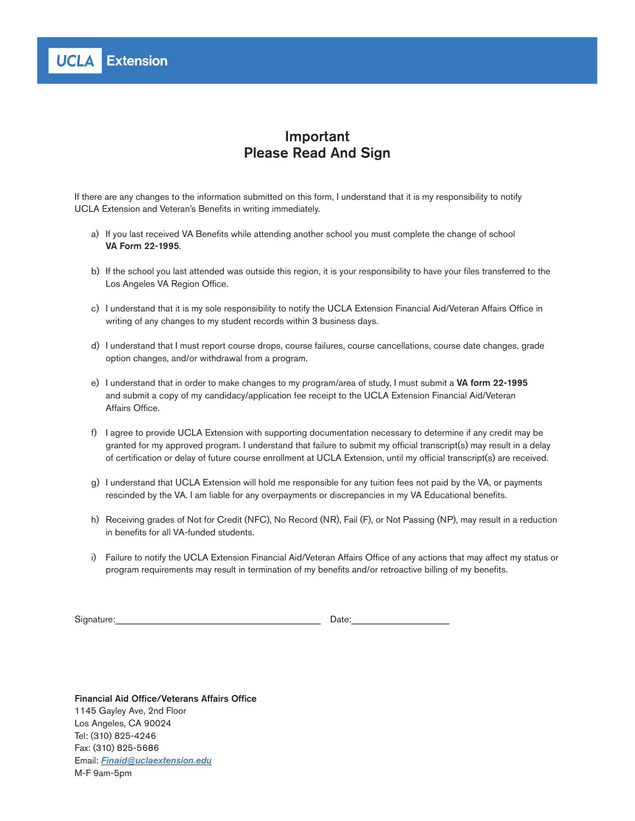

# Important Please Read And Sign

If there are any changes to the information submitted on this form, I understand that it is my responsibility to notify UCLA Extension and Veteran's Benefits in writing immediately.

- a) If you last received VA Benefits while attending another school you must complete the change of school VA Form 22-1995.
- b) If the school you last attended was outside this region, it is your responsibility to have your files transferred to the Los Angeles VA Region Office.
- c) I understand that it is my sole responsibility to notify the UCLA Extension Financial Aid/Veteran Affairs Office in writing of any changes to my student records within 3 business days.
- d) I understand that I must report course drops, course failures, course cancellations, course date changes, grade option changes, and/or withdrawal from a program.
- e) I understand that in order to make changes to my program/area of study, I must submit a VA form 22-1995 and submit a copy of my candidacy/application fee receipt to the UCLA Extension Financial Aid/Veteran Affairs Office.
- f) I agree to provide UCLA Extension with supporting documentation necessary to determine if any credit may be granted for my approved program. I understand that failure to submit my official transcript(s) may result in a delay of certification or delay of future course enrollment at UCLA Extension, until my official transcript(s) are received.
- g) I understand that UCLA Extension will hold me responsible for any tuition fees not paid by the VA, or payments rescinded by the VA. I am liable for any overpayments or discrepancies in my VA Educational benefits.
- h) Receiving grades of Not for Credit (NFC), No Record (NR), Fail (F), or Not Passing (NP), may result in a reduction in benefits for all VA-funded students.
- i) Failure to notify the UCLA Extension Financial Aid/Veteran Affairs Office of any actions that may affect my status or program requirements may result in termination of my benefits and/or retroactive billing of my benefits.

Signature:\_\_\_\_\_\_\_\_\_\_\_\_\_\_\_\_\_\_\_\_\_\_\_\_\_\_\_\_\_\_\_\_\_\_\_\_\_\_\_\_\_\_\_\_ Date:\_\_\_\_\_\_\_\_\_\_\_\_\_\_\_\_\_\_\_\_\_

Financial Aid Office/Veterans Affairs Office 1145 Gayley Ave, 2nd Floor Los Angeles, CA 90024 Tel: (310) 825-4246 Fax: (310) 825-5686 Email: Finaid@uclaextension.edu M-F 9am-5pm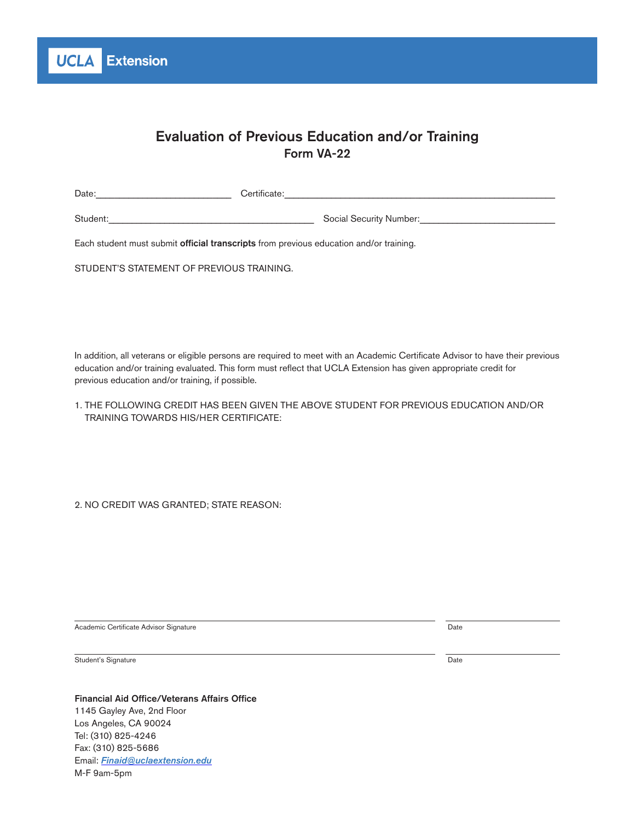

# Evaluation of Previous Education and/or Training Form VA-22

| Date:                                                                                  | Certificate:            |  |  |  |
|----------------------------------------------------------------------------------------|-------------------------|--|--|--|
| Student:                                                                               | Social Security Number: |  |  |  |
| Each student must submit official transcripts from previous education and/or training. |                         |  |  |  |

STUDENT'S STATEMENT OF PREVIOUS TRAINING.

In addition, all veterans or eligible persons are required to meet with an Academic Certificate Advisor to have their previous education and/or training evaluated. This form must reflect that UCLA Extension has given appropriate credit for previous education and/or training, if possible.

| 1. THE FOLLOWING CREDIT HAS BEEN GIVEN THE ABOVE STUDENT FOR PREVIOUS EDUCATION AND/OR |  |
|----------------------------------------------------------------------------------------|--|
| TRAINING TOWARDS HIS/HER CERTIFICATE:                                                  |  |

2. NO CREDIT WAS GRANTED; STATE REASON:

Academic Certificate Advisor Signature Date

Student's Signature Date and the Date of the United Student's Signature Date of the Date of the United Student's Signature Date of the United Students of the United Students of the United Students of the United Students of

Financial Aid Office/Veterans Affairs Office 1145 Gayley Ave, 2nd Floor Los Angeles, CA 90024 Tel: (310) 825-4246 Fax: (310) 825-5686 Email: Finaid@uclaextension.edu

M-F 9am-5pm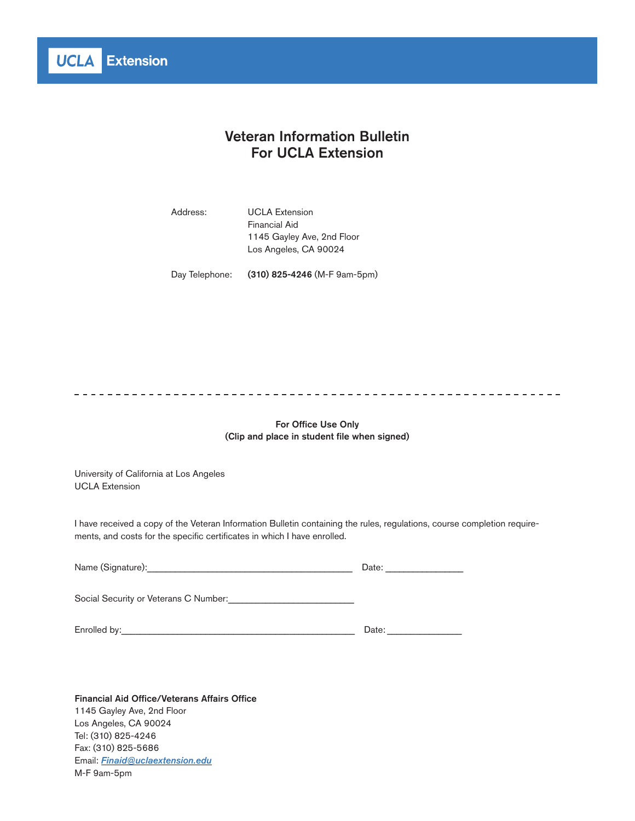

# Veteran Information Bulletin For UCLA Extension

Address: UCLA Extension Financial Aid 1145 Gayley Ave, 2nd Floor Los Angeles, CA 90024

Day Telephone: (310) 825-4246 (M-F 9am-5pm)

For Office Use Only (Clip and place in student file when signed)

University of California at Los Angeles UCLA Extension

I have received a copy of the Veteran Information Bulletin containing the rules, regulations, course completion requirements, and costs for the specific certificates in which I have enrolled.

| Name (Signature):                     | Date: |
|---------------------------------------|-------|
| Social Security or Veterans C Number: |       |
| Enrolled by:                          | Date: |

Financial Aid Office/Veterans Affairs Office 1145 Gayley Ave, 2nd Floor Los Angeles, CA 90024 Tel: (310) 825-4246 Fax: (310) 825-5686 Email: Finaid@uclaextension.edu M-F 9am-5pm